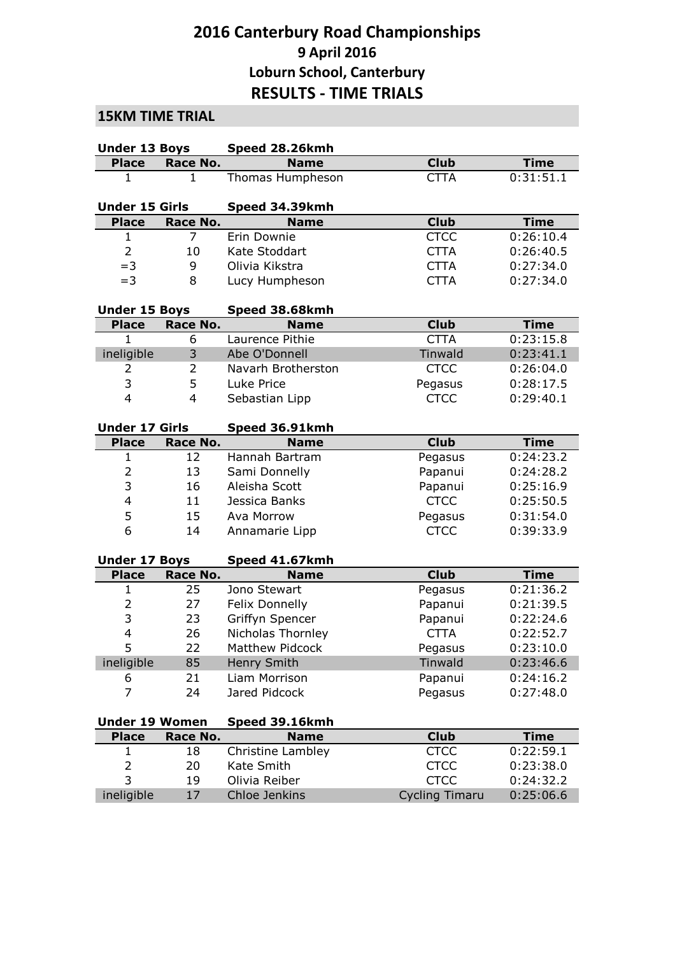## **2016 Canterbury Road Championships 9 April 2016 Loburn School, Canterbury RESULTS - TIME TRIALS**

## **15KM TIME TRIAL**

| <b>Under 13 Boys</b>  |                | Speed 28.26kmh                |                       |             |
|-----------------------|----------------|-------------------------------|-----------------------|-------------|
| <b>Place</b>          | Race No.       | <b>Name</b>                   | <b>Club</b>           | <b>Time</b> |
| 1                     | $\mathbf{1}$   | Thomas Humpheson              | <b>CTTA</b>           | 0:31:51.1   |
| <b>Under 15 Girls</b> |                | Speed 34.39kmh                |                       |             |
| <b>Place</b>          | Race No.       | <b>Name</b>                   | <b>Club</b>           | <b>Time</b> |
| 1                     | 7              | Erin Downie                   | <b>CTCC</b>           | 0:26:10.4   |
| $\overline{2}$        | 10             | Kate Stoddart                 | <b>CTTA</b>           | 0:26:40.5   |
| $=3$                  | 9              | Olivia Kikstra                | <b>CTTA</b>           | 0:27:34.0   |
| $=$ 3                 | 8              | Lucy Humpheson                | <b>CTTA</b>           | 0:27:34.0   |
| <b>Under 15 Boys</b>  |                | Speed 38.68kmh                |                       |             |
| <b>Place</b>          | Race No.       | <b>Name</b>                   | <b>Club</b>           | <b>Time</b> |
| 1                     | 6              | Laurence Pithie               | <b>CTTA</b>           | 0:23:15.8   |
| ineligible            | 3              | Abe O'Donnell                 | Tinwald               | 0:23:41.1   |
| 2                     | 2              | Navarh Brotherston            | <b>CTCC</b>           | 0:26:04.0   |
| 3                     | 5              | Luke Price                    | Pegasus               | 0:28:17.5   |
| $\overline{4}$        | $\overline{4}$ | Sebastian Lipp                | <b>CTCC</b>           | 0:29:40.1   |
|                       |                |                               |                       |             |
| <b>Under 17 Girls</b> |                | Speed 36.91kmh                |                       |             |
| <b>Place</b>          | Race No.       | <b>Name</b>                   | <b>Club</b>           | <b>Time</b> |
| 1                     | 12             | Hannah Bartram                | Pegasus               | 0:24:23.2   |
| $\overline{2}$        | 13             | Sami Donnelly                 | Papanui               | 0:24:28.2   |
| 3                     | 16             | Aleisha Scott                 | Papanui               | 0:25:16.9   |
| $\overline{4}$        | 11             | Jessica Banks                 | <b>CTCC</b>           | 0:25:50.5   |
| 5                     | 15             | Ava Morrow                    | Pegasus               | 0:31:54.0   |
| 6                     | 14             | Annamarie Lipp                | <b>CTCC</b>           | 0:39:33.9   |
| <b>Under 17 Boys</b>  |                |                               |                       |             |
| <b>Place</b>          | Race No.       | Speed 41.67kmh<br><b>Name</b> | <b>Club</b>           | <b>Time</b> |
| $\mathbf{1}$          | 25             | Jono Stewart                  | Pegasus               | 0:21:36.2   |
| $\overline{2}$        | 27             | Felix Donnelly                | Papanui               | 0:21:39.5   |
| 3                     | 23             | Griffyn Spencer               | Papanui               | 0:22:24.6   |
| $\overline{4}$        | 26             | Nicholas Thornley             | <b>CTTA</b>           | 0:22:52.7   |
| 5                     | 22             | Matthew Pidcock               | Pegasus               | 0:23:10.0   |
| ineligible            | 85             | Henry Smith                   | Tinwald               | 0:23:46.6   |
| 6                     | 21             | Liam Morrison                 | Papanui               | 0:24:16.2   |
| 7                     | 24             | Jared Pidcock                 | Pegasus               | 0:27:48.0   |
|                       |                |                               |                       |             |
| <b>Under 19 Women</b> |                | Speed 39.16kmh                |                       |             |
| <b>Place</b>          | Race No.       | <b>Name</b>                   | <b>Club</b>           | <b>Time</b> |
| 1                     | 18             | <b>Christine Lambley</b>      | <b>CTCC</b>           | 0:22:59.1   |
| $\overline{2}$        | 20             | Kate Smith                    | <b>CTCC</b>           | 0:23:38.0   |
| 3                     | 19             | Olivia Reiber                 | <b>CTCC</b>           | 0:24:32.2   |
| ineligible            | 17             | Chloe Jenkins                 | <b>Cycling Timaru</b> | 0:25:06.6   |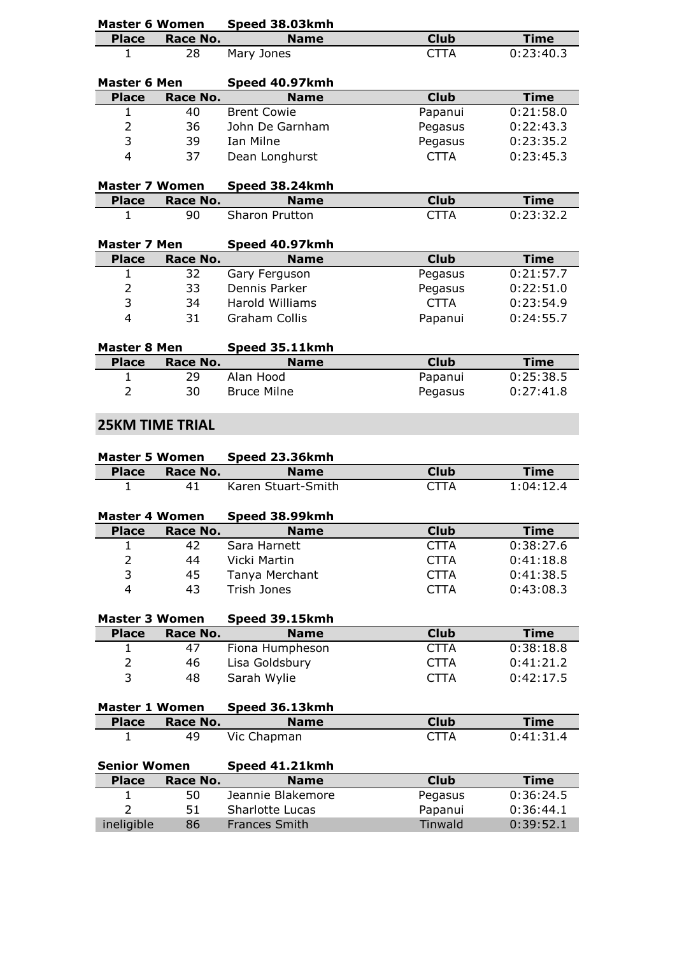| <b>Master 6 Women</b> |                        | Speed 38.03kmh                |             |             |
|-----------------------|------------------------|-------------------------------|-------------|-------------|
| <b>Place</b>          | Race No.               | <b>Name</b>                   | <b>Club</b> | <b>Time</b> |
| 1                     | 28                     | Mary Jones                    | <b>CTTA</b> | 0:23:40.3   |
|                       |                        |                               |             |             |
| <b>Master 6 Men</b>   |                        | Speed 40.97kmh                |             |             |
| <b>Place</b>          | Race No.               | <b>Name</b>                   | <b>Club</b> | <b>Time</b> |
| 1                     | 40                     | <b>Brent Cowie</b>            | Papanui     | 0:21:58.0   |
| $\overline{2}$        | 36                     | John De Garnham               | Pegasus     | 0:22:43.3   |
| 3                     | 39                     | Ian Milne                     | Pegasus     | 0:23:35.2   |
| $\overline{4}$        | 37                     | Dean Longhurst                | <b>CTTA</b> | 0:23:45.3   |
|                       |                        |                               |             |             |
| <b>Master 7 Women</b> |                        | Speed 38.24kmh                |             |             |
| <b>Place</b>          | Race No.               | <b>Name</b>                   | <b>Club</b> | <b>Time</b> |
| $\mathbf{1}$          | 90                     | <b>Sharon Prutton</b>         | <b>CTTA</b> | 0:23:32.2   |
|                       |                        |                               |             |             |
| <b>Master 7 Men</b>   |                        | Speed 40.97kmh                |             |             |
| <b>Place</b>          | Race No.               | <b>Name</b>                   | <b>Club</b> | <b>Time</b> |
| 1                     | 32                     | Gary Ferguson                 | Pegasus     | 0:21:57.7   |
| $\overline{2}$        | 33                     | Dennis Parker                 | Pegasus     | 0:22:51.0   |
| 3                     | 34                     | <b>Harold Williams</b>        | <b>CTTA</b> | 0:23:54.9   |
| $\overline{4}$        | 31                     | <b>Graham Collis</b>          | Papanui     | 0:24:55.7   |
|                       |                        |                               |             |             |
| <b>Master 8 Men</b>   |                        | Speed 35.11kmh                |             |             |
| <b>Place</b>          | Race No.               | <b>Name</b>                   | <b>Club</b> | <b>Time</b> |
| 1                     | 29                     | Alan Hood                     | Papanui     | 0:25:38.5   |
| $\overline{2}$        | 30                     | <b>Bruce Milne</b>            | Pegasus     | 0:27:41.8   |
|                       |                        |                               |             |             |
|                       | <b>25KM TIME TRIAL</b> |                               |             |             |
|                       |                        |                               |             |             |
|                       |                        |                               |             |             |
| <b>Master 5 Women</b> |                        | Speed 23.36kmh                |             |             |
| <b>Place</b>          | Race No.               | <b>Name</b>                   | <b>Club</b> | <b>Time</b> |
| $\mathbf{1}$          | 41                     | Karen Stuart-Smith            | <b>CTTA</b> | 1:04:12.4   |
| <b>Master 4 Women</b> |                        |                               |             |             |
|                       |                        | Speed 38.99kmh<br><b>Name</b> |             |             |
| <b>Place</b>          | Race No.               |                               | <b>Club</b> | <b>Time</b> |
| 1                     | 42                     | Sara Harnett                  | <b>CTTA</b> | 0:38:27.6   |
| 2                     | 44                     | Vicki Martin                  | <b>CTTA</b> | 0:41:18.8   |
| 3                     | 45                     | Tanya Merchant                | <b>CTTA</b> | 0:41:38.5   |
| $\overline{4}$        | 43                     | Trish Jones                   | <b>CTTA</b> | 0:43:08.3   |
|                       |                        |                               |             |             |
| <b>Master 3 Women</b> |                        | Speed 39.15kmh                |             |             |
| <b>Place</b>          | Race No.               | <b>Name</b>                   | <b>Club</b> | <b>Time</b> |
| 1                     | 47                     | Fiona Humpheson               | <b>CTTA</b> | 0:38:18.8   |
| $\overline{2}$        | 46                     | Lisa Goldsbury                | <b>CTTA</b> | 0:41:21.2   |
| 3                     | 48                     | Sarah Wylie                   | <b>CTTA</b> | 0:42:17.5   |
|                       |                        |                               |             |             |
| <b>Master 1 Women</b> |                        | Speed 36.13kmh                |             |             |
| <b>Place</b>          | Race No.               | <b>Name</b>                   | <b>Club</b> | <b>Time</b> |
| 1                     | 49                     | Vic Chapman                   | <b>CTTA</b> | 0:41:31.4   |
|                       |                        |                               |             |             |
| <b>Senior Women</b>   |                        | Speed 41.21kmh                |             |             |
| <b>Place</b>          | Race No.               | <b>Name</b>                   | <b>Club</b> | <b>Time</b> |
| $\mathbf{1}$          | 50                     | Jeannie Blakemore             | Pegasus     | 0:36:24.5   |
| $\overline{2}$        | 51                     | Sharlotte Lucas               | Papanui     | 0:36:44.1   |
| ineligible            | 86                     | Frances Smith                 | Tinwald     | 0:39:52.1   |